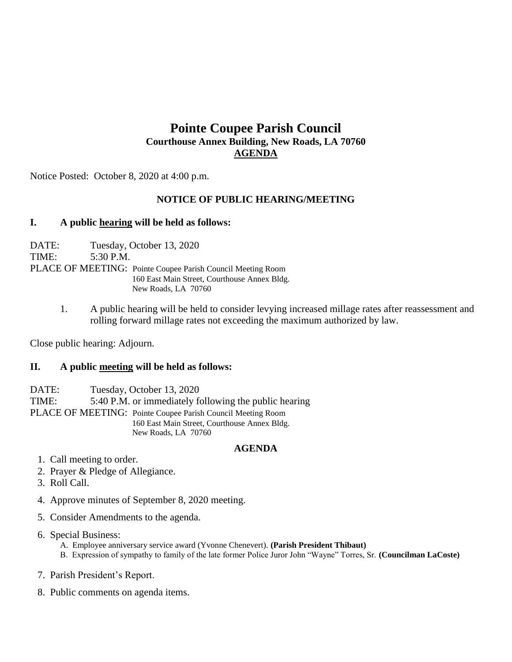# **Pointe Coupee Parish Council Courthouse Annex Building, New Roads, LA 70760 AGENDA**

Notice Posted: October 8, 2020 at 4:00 p.m.

## **NOTICE OF PUBLIC HEARING/MEETING**

### **I. A public hearing will be held as follows:**

DATE: Tuesday, October 13, 2020 TIME: 5:30 P.M. PLACE OF MEETING: Pointe Coupee Parish Council Meeting Room 160 East Main Street, Courthouse Annex Bldg. New Roads, LA 70760

> 1. A public hearing will be held to consider levying increased millage rates after reassessment and rolling forward millage rates not exceeding the maximum authorized by law.

Close public hearing: Adjourn.

### **II. A public meeting will be held as follows:**

DATE: Tuesday, October 13, 2020 TIME: 5:40 P.M. or immediately following the public hearing PLACE OF MEETING: Pointe Coupee Parish Council Meeting Room 160 East Main Street, Courthouse Annex Bldg. New Roads, LA 70760

#### **AGENDA**

- 1. Call meeting to order.
- 2. Prayer & Pledge of Allegiance.
- 3. Roll Call.
- 4. Approve minutes of September 8, 2020 meeting.
- 5. Consider Amendments to the agenda.
- 6. Special Business:
	- A. Employee anniversary service award (Yvonne Chenevert). **(Parish President Thibaut)** B. Expression of sympathy to family of the late former Police Juror John "Wayne" Torres, Sr. **(Councilman LaCoste)**
- 7. Parish President's Report.
- 8. Public comments on agenda items.